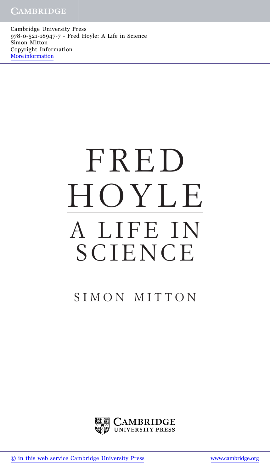Cambridge University Press 978-0-521-18947-7 - Fred Hoyle: A Life in Science Simon Mitton Copyright Information [More information](http://www.cambridge.org/9780521189477)

## FRED HOYLE A LIFE IN **SCIENCE**

## SIMON MITTON



[© in this web service Cambridge University Press](http://www.cambridge.org) [www.cambridge.org](http://www.cambridge.org)